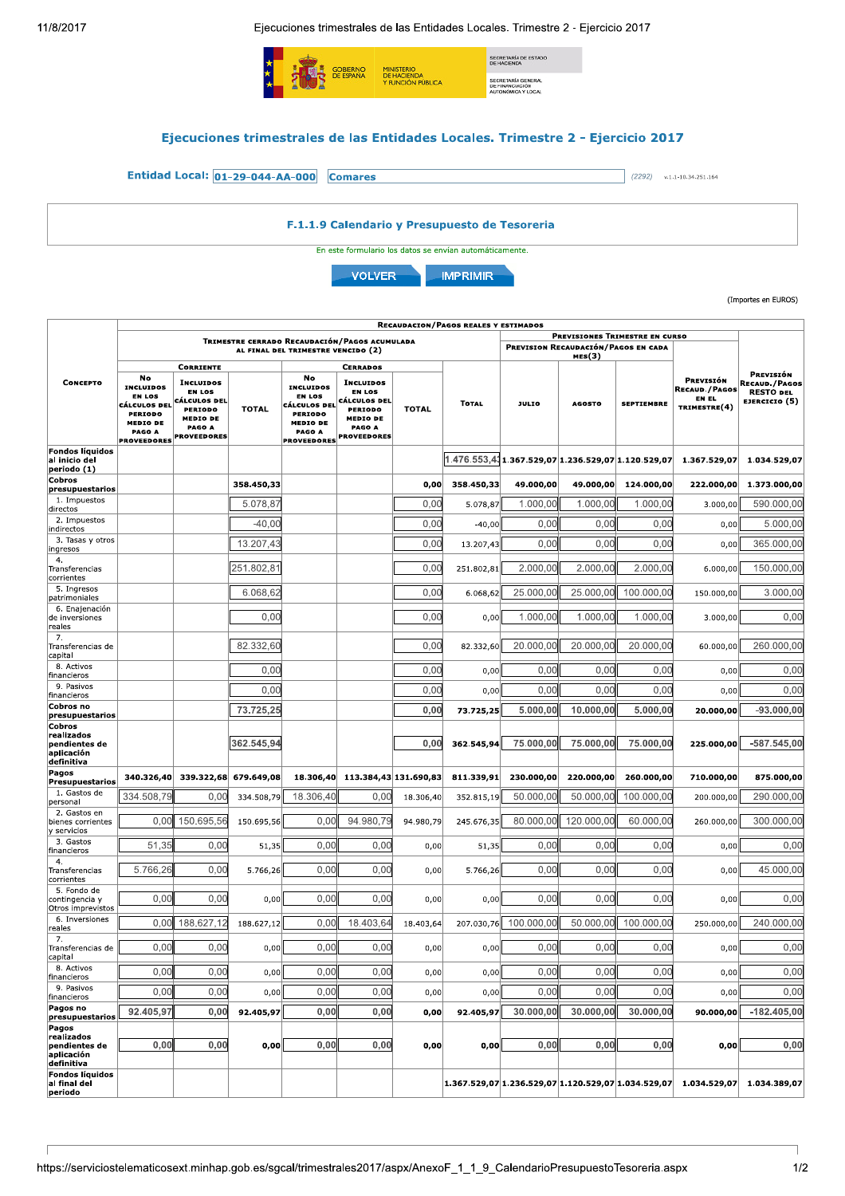$\overline{1}$ 

Ejecuciones trimestrales de las Entidades Locales. Trimestre 2 - Ejercicio 2017



(Importes en EUROS)

|                                                                   | <b>RECAUDACION/PAGOS REALES Y ESTIMADOS</b>                                                                           |                                                                                                                                     |              |                                                                                                                                     |                                                                                                                                           |              |              |              |                                                                       |                                                       |                                                            |                                                                 |
|-------------------------------------------------------------------|-----------------------------------------------------------------------------------------------------------------------|-------------------------------------------------------------------------------------------------------------------------------------|--------------|-------------------------------------------------------------------------------------------------------------------------------------|-------------------------------------------------------------------------------------------------------------------------------------------|--------------|--------------|--------------|-----------------------------------------------------------------------|-------------------------------------------------------|------------------------------------------------------------|-----------------------------------------------------------------|
|                                                                   | TRIMESTRE CERRADO RECAUDACIÓN/PAGOS ACUMULADA                                                                         |                                                                                                                                     |              |                                                                                                                                     |                                                                                                                                           |              |              |              | PREVISIONES TRIMESTRE EN CURSO<br>PREVISION RECAUDACIÓN/PAGOS EN CADA |                                                       |                                                            |                                                                 |
| <b>CONCEPTO</b>                                                   | AL FINAL DEL TRIMESTRE VENCIDO (2)                                                                                    |                                                                                                                                     |              |                                                                                                                                     |                                                                                                                                           |              |              |              | MES(3)                                                                |                                                       |                                                            |                                                                 |
|                                                                   | No<br><b>INCLUIDOS</b><br><b>EN LOS</b><br>CÁLCULOS DEL<br>PERIODO<br><b>MEDIO DE</b><br>PAGO A<br><b>PROVEEDORES</b> | <b>CORRIENTE</b><br><b>INCLUIDOS</b><br>EN LOS<br>CÁLCULOS DEL<br><b>PERIODO</b><br><b>MEDIO DE</b><br>PAGO A<br><b>PROVEEDORES</b> | <b>TOTAL</b> | No<br><b>INCLUIDOS</b><br><b>EN LOS</b><br><b>CÁLCULOS DEL</b><br><b>PERIODO</b><br><b>MEDIO DE</b><br>PAGO A<br><b>PROVEEDORES</b> | <b>CERRADOS</b><br><b>INCLUIDOS</b><br><b>EN LOS</b><br>CÁLCULOS DEL<br><b>PERIODO</b><br><b>MEDIO DE</b><br>PAGO A<br><b>PROVEEDORES</b> | <b>TOTAL</b> | <b>TOTAL</b> | <b>JULIO</b> | <b>AGOSTO</b>                                                         | <b>SEPTIEMBRE</b>                                     | PREVISIÓN<br><b>RECAUD./PAGOS</b><br>EN EL<br>TRIMESTRE(4) | PREVISIÓN<br>RECAUD./PAGOS<br><b>RESTO DEL</b><br>EJERCICIO (5) |
| Fondos líquidos<br>al inicio del<br>periodo (1)                   |                                                                                                                       |                                                                                                                                     |              |                                                                                                                                     |                                                                                                                                           |              |              |              |                                                                       | 1.476.553,411.367.529,07 1.236.529,07 1.120.529,07    | 1.367.529,07                                               | 1.034.529,07                                                    |
| Cobros<br>presupuestarios                                         |                                                                                                                       |                                                                                                                                     | 358.450,33   |                                                                                                                                     |                                                                                                                                           | 0,00         | 358.450,33   | 49.000,00    | 49.000,00                                                             | 124.000,00                                            | 222.000,00                                                 | 1.373.000,00                                                    |
| 1. Impuestos<br>directos                                          |                                                                                                                       |                                                                                                                                     | 5.078,87     |                                                                                                                                     |                                                                                                                                           | 0,00         | 5.078,87     | 1.000,00     | 1.000,00                                                              | 1.000,00                                              | 3.000,00                                                   | 590.000,00                                                      |
| 2. Impuestos<br>indirectos                                        |                                                                                                                       |                                                                                                                                     | $-40.00$     |                                                                                                                                     |                                                                                                                                           | 0.00         | $-40,00$     | 0.00         | 0.00                                                                  | 0.00                                                  | 0,00                                                       | 5.000,00                                                        |
| 3. Tasas y otros<br>ingresos                                      |                                                                                                                       |                                                                                                                                     | 13.207,43    |                                                                                                                                     |                                                                                                                                           | 0,00         | 13.207,43    | 0,00         | 0.00                                                                  | 0,00                                                  | 0,00                                                       | 365.000,00                                                      |
| 4.<br>Transferencias<br>corrientes                                |                                                                                                                       |                                                                                                                                     | 251.802,81   |                                                                                                                                     |                                                                                                                                           | 0,00         | 251.802,81   | 2.000,00     | 2.000,00                                                              | 2.000,00                                              | 6.000,00                                                   | 150.000,00                                                      |
| 5. Ingresos<br>patrimoniales                                      |                                                                                                                       |                                                                                                                                     | 6.068,62     |                                                                                                                                     |                                                                                                                                           | 0,00         | 6.068,62     | 25.000,00    | 25.000.00                                                             | 100.000.00                                            | 150.000,00                                                 | 3.000.00                                                        |
| 6. Enajenación<br>de inversiones<br>reales                        |                                                                                                                       |                                                                                                                                     | 0,00         |                                                                                                                                     |                                                                                                                                           | 0,00         | 0,00         | 1.000,00     | 1.000.00                                                              | 1.000,00                                              | 3.000.00                                                   | 0,00                                                            |
| 7.<br>Transferencias de<br>capital                                |                                                                                                                       |                                                                                                                                     | 82.332,60    |                                                                                                                                     |                                                                                                                                           | 0,00         | 82.332,60    | 20.000,00    | 20.000,00                                                             | 20.000.00                                             | 60.000,00                                                  | 260.000.00                                                      |
| 8. Activos<br>financieros                                         |                                                                                                                       |                                                                                                                                     | 0,00         |                                                                                                                                     |                                                                                                                                           | 0,00         | 0,00         | 0,00         | 0,00                                                                  | 0,00                                                  | 0,00                                                       | 0,00                                                            |
| 9. Pasivos<br>financieros                                         |                                                                                                                       |                                                                                                                                     | 0,00         |                                                                                                                                     |                                                                                                                                           | 0,00         | 0,00         | 0,00         | 0,00                                                                  | 0,00                                                  | 0,00                                                       | 0,00                                                            |
| Cobros no<br>presupuestarios                                      |                                                                                                                       |                                                                                                                                     | 73.725,25    |                                                                                                                                     |                                                                                                                                           | 0,00         | 73.725.25    | 5.000,00     | 10.000,00                                                             | 5.000,00                                              | 20.000,00                                                  | $-93.000,00$                                                    |
| Cobros<br>realizados<br>pendientes de<br>aplicación<br>definitiva |                                                                                                                       |                                                                                                                                     | 362.545,94   |                                                                                                                                     |                                                                                                                                           | 0,00         | 362.545,94   | 75.000,00    | 75.000,00                                                             | 75.000,00                                             | 225.000,00                                                 | -587.545,00                                                     |
| Pagos<br><b>Presupuestarios</b>                                   | 340.326,40                                                                                                            | 339.322,68                                                                                                                          | 679.649,08   | 18.306,40                                                                                                                           | 113.384,43 131.690,83                                                                                                                     |              | 811.339,91   | 230.000,00   | 220.000,00                                                            | 260.000,00                                            | 710.000,00                                                 | 875.000,00                                                      |
| 1. Gastos de<br>personal                                          | 334.508,79                                                                                                            | 0,00                                                                                                                                | 334.508,79   | 18.306,40                                                                                                                           | 0,00                                                                                                                                      | 18.306,40    | 352.815,19   | 50.000,00    | 50.000,00                                                             | 100.000.00                                            | 200.000,00                                                 | 290.000,00                                                      |
| 2. Gastos en<br>bienes corrientes<br>y servicios                  | 0,00                                                                                                                  | 150.695,56                                                                                                                          | 150.695,56   | 0,00                                                                                                                                | 94.980,79                                                                                                                                 | 94.980,79    | 245.676,35   | 80.000,00    | 120.000,00                                                            | 60.000,00                                             | 260.000,00                                                 | 300.000,00                                                      |
| 3. Gastos<br>financieros                                          | 51,35                                                                                                                 | 0,00                                                                                                                                | 51,35        | 0.00                                                                                                                                | 0.00                                                                                                                                      | 0,00         | 51,35        | 0.00         | 0.00                                                                  | 0.00                                                  | 0,00                                                       | 0.00                                                            |
| 4.<br>Transferencias<br>corrientes                                | 5.766,26                                                                                                              | 0,00                                                                                                                                | 5.766,26     | 0,00                                                                                                                                | 0,00                                                                                                                                      | 0,00         | 5.766,26     | 0.00         | 0.00                                                                  | 0,00                                                  | 0,00                                                       | 45.000,00                                                       |
| 5. Fondo de<br>contingencia y<br>Otros imprevistos                | 0.00                                                                                                                  | 0.00                                                                                                                                | 0,00         | 0.00                                                                                                                                | 0.00                                                                                                                                      | 0,00         | 0,00         | 0.00         | 0.00                                                                  | 0.00                                                  | 0,00                                                       | 0.00                                                            |
| 6. Inversiones<br>reales                                          | 0.00                                                                                                                  | 188.627,12                                                                                                                          | 188.627,12   | 0,00                                                                                                                                | 18.403.64                                                                                                                                 | 18.403,64    | 207.030,76   | 100.000.00   | 50.000,00                                                             | 100.000,00                                            | 250.000,00                                                 | 240.000,00                                                      |
| 7.<br>Transferencias de<br>capital                                | 0,00                                                                                                                  | 0.00                                                                                                                                | 0,00         | 0.00                                                                                                                                | 0.00                                                                                                                                      | 0,00         | 0,00         | 0.00         | 0.00                                                                  | 0.00                                                  | 0,00                                                       | 0.00                                                            |
| 8. Activos<br>financieros                                         | 0,00                                                                                                                  | 0,00                                                                                                                                | 0,00         | 0,00                                                                                                                                | 0,00                                                                                                                                      | 0,00         | 0,00         | 0,00         | 0,00                                                                  | 0,00                                                  | 0,00                                                       | 0,00                                                            |
| 9. Pasivos<br>financieros                                         | 0,00                                                                                                                  | 0,00                                                                                                                                | 0,00         | 0,00                                                                                                                                | 0,00                                                                                                                                      | 0,00         | 0,00         | 0,00         | 0,00                                                                  | 0,00                                                  | 0,00                                                       | 0,00                                                            |
| Pagos no<br>presupuestarios                                       | 92.405,97                                                                                                             | 0,00                                                                                                                                | 92.405,97    | 0,00                                                                                                                                | 0,00                                                                                                                                      | 0,00         | 92.405,97    | 30.000,00    | 30.000.00                                                             | 30.000,00                                             | 90.000,00                                                  | $-182.405,00$                                                   |
| Pagos<br>realizados<br>pendientes de                              | 0,00                                                                                                                  | 0,00                                                                                                                                | 0,00         | 0,00                                                                                                                                | 0,00                                                                                                                                      | 0,00         | 0,00         | 0,00         | 0,00                                                                  | 0,00                                                  | 0,00                                                       | 0,00                                                            |
| aplicación<br>definitiva<br>Fondos líquidos                       |                                                                                                                       |                                                                                                                                     |              |                                                                                                                                     |                                                                                                                                           |              |              |              |                                                                       |                                                       |                                                            |                                                                 |
| al final del<br>periodo                                           |                                                                                                                       |                                                                                                                                     |              |                                                                                                                                     |                                                                                                                                           |              |              |              |                                                                       | $1.367.529.07 1.236.529.07 1.120.529.07 1.034.529.07$ | 1.034.529,07                                               | 1.034.389,07                                                    |